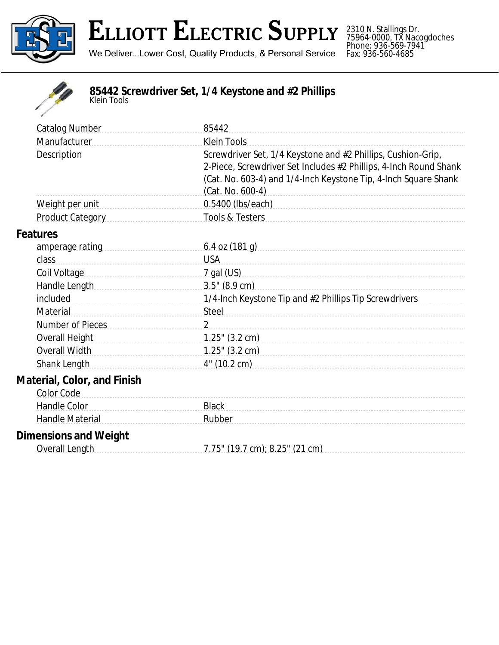

2310 N. Stallings Dr. 75964-0000, TX Nacogdoches Phone: 936-569-7941 Fax: 936-560-4685



## **85442 Screwdriver Set, 1/4 Keystone and #2 Phillips** *Klein Tools*

| <b>Catalog Number</b>                                   | 85442                                                                                                                                                                                                                    |
|---------------------------------------------------------|--------------------------------------------------------------------------------------------------------------------------------------------------------------------------------------------------------------------------|
| Manufacturer                                            | Klein Tools                                                                                                                                                                                                              |
| Description                                             | Screwdriver Set, 1/4 Keystone and #2 Phillips, Cushion-Grip,<br>2-Piece, Screwdriver Set Includes #2 Phillips, 4-Inch Round Shank<br>(Cat. No. 603-4) and 1/4-Inch Keystone Tip, 4-Inch Square Shank<br>(Cat. No. 600-4) |
| Weight per unit                                         | 0.5400 (lbs/each)                                                                                                                                                                                                        |
| <b>Product Category</b>                                 | Tools & Testers                                                                                                                                                                                                          |
| <b>Features</b>                                         |                                                                                                                                                                                                                          |
| amperage rating                                         | 6.4 oz $(181 g)$                                                                                                                                                                                                         |
| class                                                   | <b>USA</b>                                                                                                                                                                                                               |
| Coil Voltage                                            | <u>7 gal (US)</u>                                                                                                                                                                                                        |
| Handle Length [19]                                      | $3.5''$ (8.9 cm)                                                                                                                                                                                                         |
| included                                                | 1/4-Inch Keystone Tip and #2 Phillips Tip Screwdrivers                                                                                                                                                                   |
| Material                                                | Steel                                                                                                                                                                                                                    |
| Number of Pieces                                        | 2                                                                                                                                                                                                                        |
| <b>Overall Height</b>                                   | $1.25$ " (3.2 cm)                                                                                                                                                                                                        |
| Overall Width                                           | $1.25$ " (3.2 cm)                                                                                                                                                                                                        |
| <b>Shank Length</b>                                     | 4" (10.2 cm)                                                                                                                                                                                                             |
| <b>Material, Color, and Finish</b><br><b>Color Code</b> |                                                                                                                                                                                                                          |
| Handle Color                                            | <b>Black</b>                                                                                                                                                                                                             |
| <b>Handle Material</b>                                  | Rubber                                                                                                                                                                                                                   |
| Dimonoiono ond Waisht                                   |                                                                                                                                                                                                                          |

## **Dimensions and Weight**

| Overall Length | 7.75" (19.7 cm); 8.25" (21 cm) |
|----------------|--------------------------------|
|                |                                |